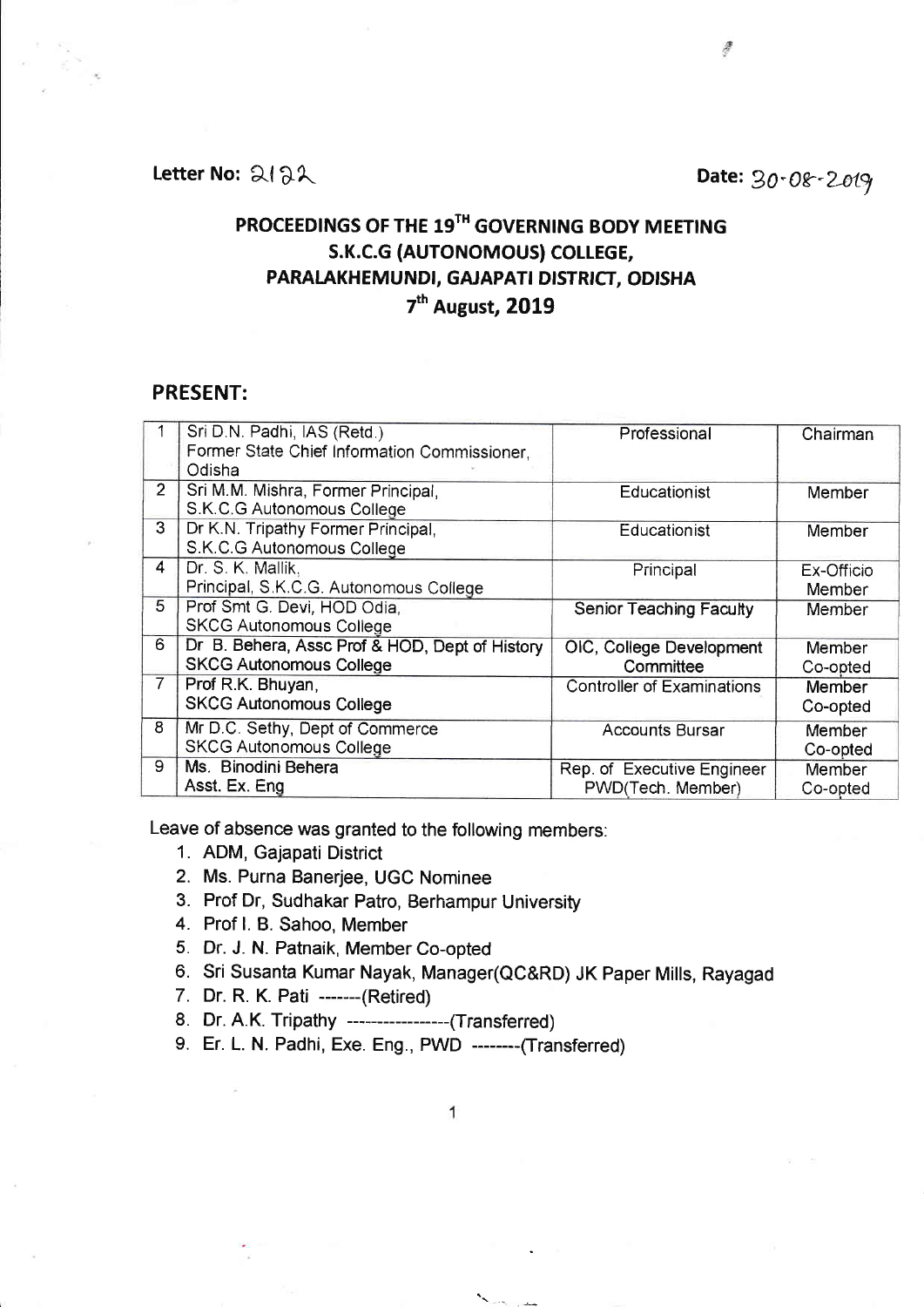Letter No:  $2132$ 

## PROCEEDINGS OF THE 19<sup>TH</sup> GOVERNING BODY MEETING s.K.c.G (AUTONOMOUS) COLLEGE, PARAIAKHEMUNDI, GAJAPATI DISTRICT, ODISHA 7<sup>th</sup> August, 2019

## PRESENT:

|                | Sri D.N. Padhi, IAS (Retd.)                    | Professional                      | Chairman   |
|----------------|------------------------------------------------|-----------------------------------|------------|
|                | Former State Chief Information Commissioner,   |                                   |            |
|                | Odisha                                         |                                   |            |
| 2 <sup>1</sup> | Sri M.M. Mishra, Former Principal,             | Educationist                      | Member     |
|                | S.K.C.G Autonomous College                     |                                   |            |
| $\overline{3}$ | Dr K.N. Tripathy Former Principal,             | Educationist                      | Member     |
|                | S.K.C.G Autonomous College                     |                                   |            |
| $\overline{4}$ | Dr. S. K. Mallik.                              | Principal                         | Ex-Officio |
|                | Principal, S.K.C.G. Autonomous College         |                                   | Member     |
| 5              | Prof Smt G. Devi, HOD Odia,                    | Senior Teaching Faculty           | Member     |
|                | <b>SKCG Autonomous College</b>                 |                                   |            |
| 6              | Dr B. Behera, Assc Prof & HOD, Dept of History | OIC, College Development          | Member     |
|                | <b>SKCG Autonomous College</b>                 | Committee                         | Co-opted   |
| $\overline{7}$ | Prof R.K. Bhuyan,                              | <b>Controller of Examinations</b> | Member     |
|                | <b>SKCG Autonomous College</b>                 |                                   | Co-opted   |
| 8              | Mr D.C. Sethy, Dept of Commerce                | <b>Accounts Bursar</b>            | Member     |
|                | <b>SKCG Autonomous College</b>                 |                                   | Co-opted   |
| 9              | Ms. Binodini Behera                            | Rep. of Executive Engineer        | Member     |
|                | Asst. Ex. Eng                                  | PWD(Tech. Member)                 | Co-opted   |

Leave of absence was granted to the following members:

- 1. ADM, Gajapati District
- 2. Ms. Purna Banerjee, UGC Nominee
- 3. Prof Dr, Sudhakar Patro, Berhampur University
- 4. Prof l. B. Sahoo, Member
- 5. Dr. J. N. Patnaik, Member Co-opted
- 6. Sri Susanta Kumar Nayak, Manager(QC&RD) JK Paper Mills, Rayagad
- 7. Dr. R. K. Pati -----(Retired)
- 8. Dr. A.K. Tripathy ------------------(Transferred)
- 9. Er. L. N. Padhi, Exe. Eng., PWD --------(Transferred)

**The State College**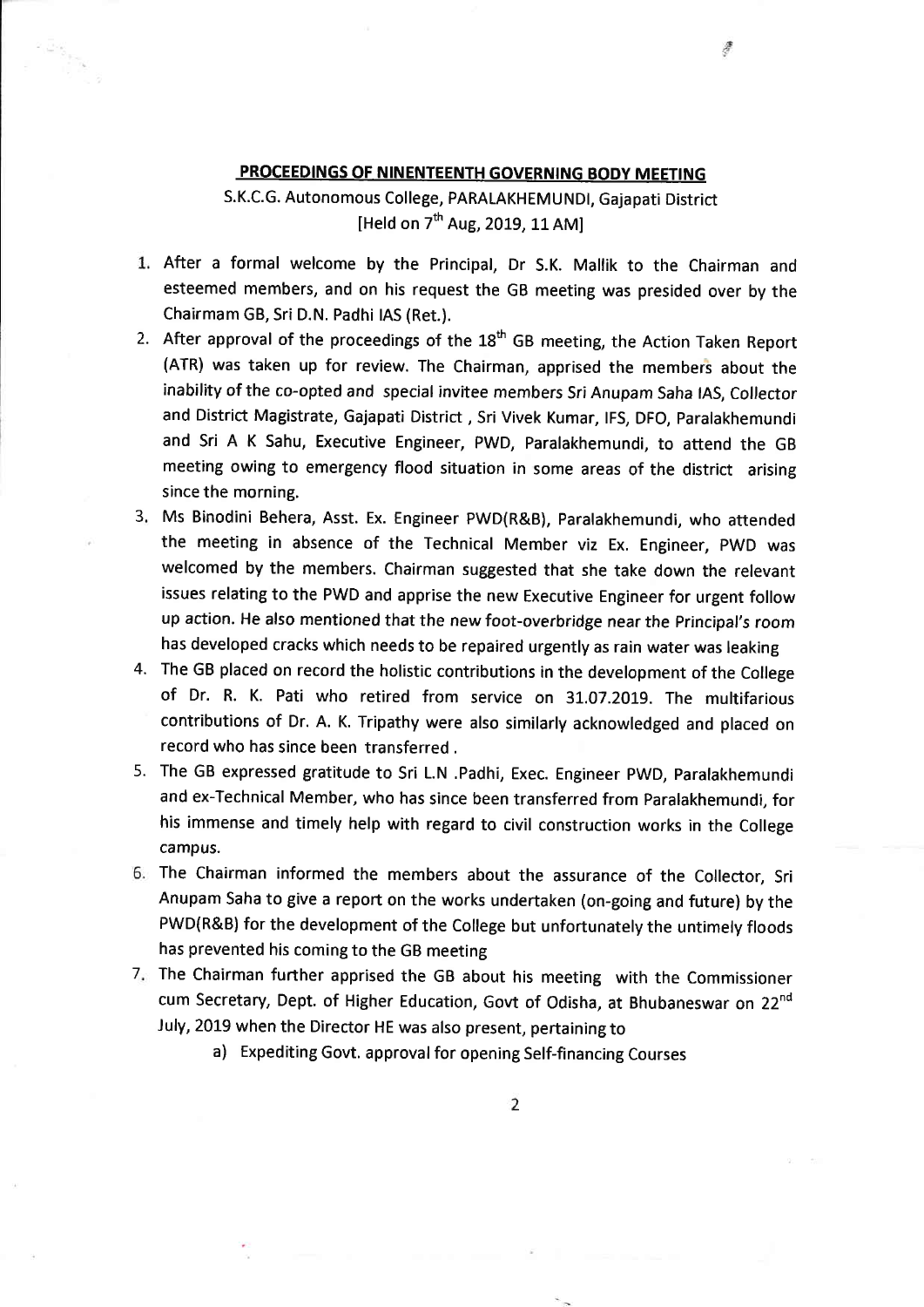## PROCEEDINGS OF NINENTEENTH GOVERNING BODY MEETING

淳

S.K.C.G. Autonomous College, PARALAKHEMUNDI, Gajapati District [Held on  $7<sup>th</sup>$  Aug, 2019, 11 AM]

- After a formal welcome by the Principal, Dr S.K. Mallik to the Chairman and esteemed members, and on his request the GB meeting was presided over by the Chairmam GB, Sri D.N. Padhi IAS (Ret.).
- 2. After approval of the proceedings of the 18<sup>th</sup> GB meeting, the Action Taken Report (ATR) was taken up for review. The Chairman, apprised the members about the inability of the co-opted and special invitee members Sri Anupam Saha IAS, Collector and District Magistrate, Gajapati District , Sri Vivek Kumar, lFS, DFO, Paralakhemundi and sri A K sahu, Executive Engineer, PWD, paralakhemundi, to attend the GB meeting owing to emergency flood situation in some areas of the district arising since the morning.
- 3. Ms Binodini Behera, Asst. Ex. Engineer PWD(R&B), Paralakhemundi, who attended the rneeting in absence of the Technical Member viz Ex. Engineer, pwD was welcomed by the members. Chairman suggested that she take down the relevant issues relating to the PWD and apprise the new Executive Engineer for urgent follow up action. He also mentioned that the new foot-overbridge near the Principal's room has developed cracks which needs to be repaired urgently as rain water was leaking
- The GB placed on record the holistic contributions in the development of the College 4. of Dr. R. K. Pati who retired from service on 31.07.2019. The multifarious contributions of Dr. A. K. Tripathy were also similarly acknowledged and placed on record who has since been transferred .
- 5. The GB expressed gratitude to Sri L.N .Padhi, Exec. Engineer PWD, Paralakhemund and ex-Technical Member, who has since been transferred from Paralakhemundi, for his immense and timely help with regard to civil construction works in the College campus.
- The Chairman informed the members about the assurance of the Collector, Sri Anupam Saha to give a report on the works undertaken (on-going and future) by the PWD(R&B) for the development of the College but unfortunately the untimely floods has prevented his coming to the GB meeting
- 7. The Chairman further apprised the GB about his meeting with the Commissioner cum Secretary, Dept. of Higher Education, Govt of Odisha, at Bhubaneswar on 22nd July, 2019 when the Director HE was also present, pertaining to
	- a) Expediting Govt, approval for opening Self-financing Courses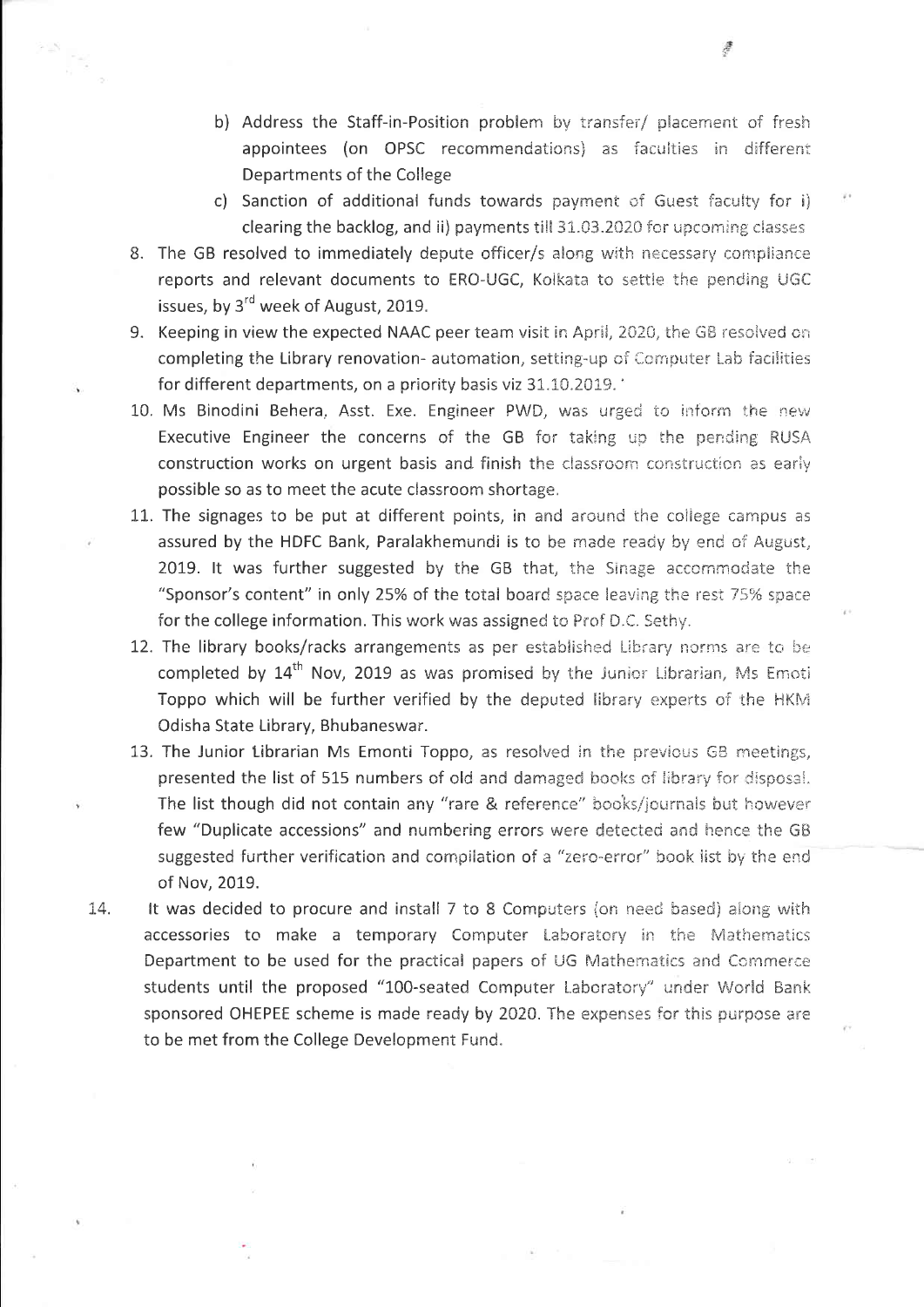- b) Address the Staff-in-Position problem by transfer/ placement of fresh appointees (on OPSC recommendations) as faculties in different Departments of the College
- c) Sanction of additional funds towards payment of Guest faculty for i) clearing the backlog, and ii) payments till 31.03.2020 for upcoming classes
- 8. The GB resolved to immediately depute officer/s along with necessary compliance reports and relevant documents to ERO-UGC, Kolkata to settle the pending UGC issues, by 3<sup>rd</sup> week of August, 2019.
- 9. Keeping in view the expected NAAC peer team visit in April, 2020, the GB resolved on completing the Library renovation- automation, setting-up of Computer Lab facilities for different departments, on a priority basis viz 31.10.2019.
- 10. Ms Binodini Behera, Asst. Exe. Engineer PWD, was urged to inform the new Executive Engineer the concerns of the GB for taking up the pending RUSA construction works on urgent basis and finish the classroom construction as early possible so as to meet the acute classroom shortage.
- 11. The signages to be put at different points, in and around the college campus as assured by the HDFC Bank, Paralakhemundi is to be made ready by end of August, 2019. It was further suggested by the GB that, the Sinage accommodate the "Sponsor's content" in only 25% of the total board space leaving the rest 75% space for the college information. This work was assigned to Prof D.C. Sethy.
- 12. The library books/racks arrangements as per established Library norms are to be completed by 14<sup>th</sup> Nov, 2019 as was promised by the Junior Librarian, Ms Emoti Toppo which will be further verified by the deputed library experts of the HKM Odisha State Library, Bhubaneswar.
- 13. The Junior Librarian Ms Emonti Toppo, as resolved in the previous GB meetings, presented the list of 515 numbers of old and damaged books of library for disposal. The list though did not contain any "rare & reference" books/journals but however few "Duplicate accessions" and numbering errors were detected and hence the GB suggested further verification and compilation of a "zero-error" book list by the end of Nov, 2019.
- 14. It was decided to procure and install 7 to 8 Computers (on need based) along with accessories to make a temporary Computer Laboratory in the Mathematics Department to be used for the practical papers of UG Mathematics and Commerce students until the proposed "100-seated Computer Laboratory" under World Bank sponsored OHEPEE scheme is made ready by 2020. The expenses for this purpose are to be met from the College Development Fund.